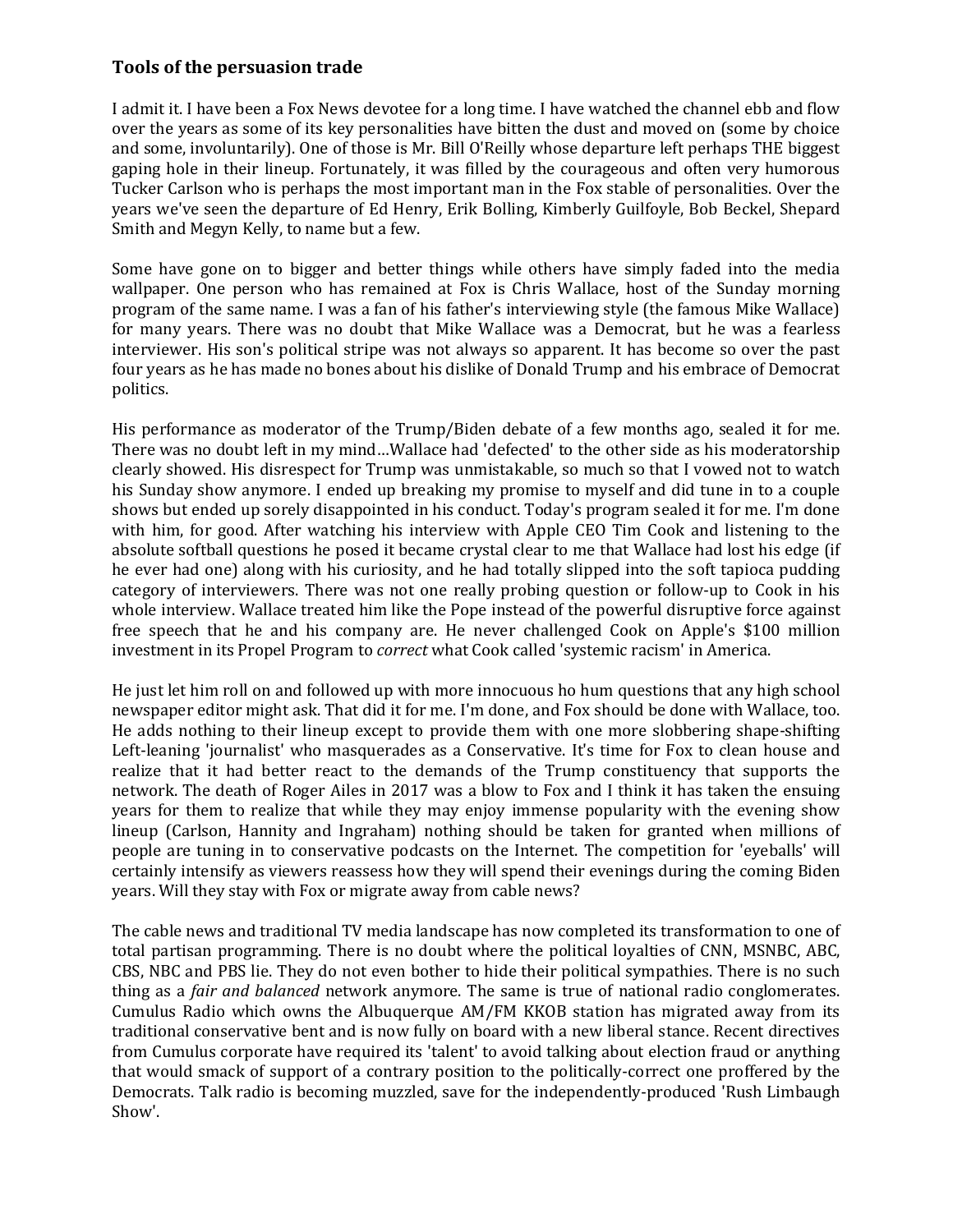## **Tools of the persuasion trade**

I admit it. I have been a Fox News devotee for a long time. I have watched the channel ebb and flow over the years as some of its key personalities have bitten the dust and moved on (some by choice and some, involuntarily). One of those is Mr. Bill O'Reilly whose departure left perhaps THE biggest gaping hole in their lineup. Fortunately, it was filled by the courageous and often very humorous Tucker Carlson who is perhaps the most important man in the Fox stable of personalities. Over the years we've seen the departure of Ed Henry, Erik Bolling, Kimberly Guilfoyle, Bob Beckel, Shepard Smith and Megyn Kelly, to name but a few.

Some have gone on to bigger and better things while others have simply faded into the media wallpaper. One person who has remained at Fox is Chris Wallace, host of the Sunday morning program of the same name. I was a fan of his father's interviewing style (the famous Mike Wallace) for many years. There was no doubt that Mike Wallace was a Democrat, but he was a fearless interviewer. His son's political stripe was not always so apparent. It has become so over the past four years as he has made no bones about his dislike of Donald Trump and his embrace of Democrat politics.

His performance as moderator of the Trump/Biden debate of a few months ago, sealed it for me. There was no doubt left in my mind…Wallace had 'defected' to the other side as his moderatorship clearly showed. His disrespect for Trump was unmistakable, so much so that I vowed not to watch his Sunday show anymore. I ended up breaking my promise to myself and did tune in to a couple shows but ended up sorely disappointed in his conduct. Today's program sealed it for me. I'm done with him, for good. After watching his interview with Apple CEO Tim Cook and listening to the absolute softball questions he posed it became crystal clear to me that Wallace had lost his edge (if he ever had one) along with his curiosity, and he had totally slipped into the soft tapioca pudding category of interviewers. There was not one really probing question or follow-up to Cook in his whole interview. Wallace treated him like the Pope instead of the powerful disruptive force against free speech that he and his company are. He never challenged Cook on Apple's \$100 million investment in its Propel Program to *correct* what Cook called 'systemic racism' in America.

He just let him roll on and followed up with more innocuous ho hum questions that any high school newspaper editor might ask. That did it for me. I'm done, and Fox should be done with Wallace, too. He adds nothing to their lineup except to provide them with one more slobbering shape-shifting Left-leaning 'journalist' who masquerades as a Conservative. It's time for Fox to clean house and realize that it had better react to the demands of the Trump constituency that supports the network. The death of Roger Ailes in 2017 was a blow to Fox and I think it has taken the ensuing years for them to realize that while they may enjoy immense popularity with the evening show lineup (Carlson, Hannity and Ingraham) nothing should be taken for granted when millions of people are tuning in to conservative podcasts on the Internet. The competition for 'eyeballs' will certainly intensify as viewers reassess how they will spend their evenings during the coming Biden years. Will they stay with Fox or migrate away from cable news?

The cable news and traditional TV media landscape has now completed its transformation to one of total partisan programming. There is no doubt where the political loyalties of CNN, MSNBC, ABC, CBS, NBC and PBS lie. They do not even bother to hide their political sympathies. There is no such thing as a *fair and balanced* network anymore. The same is true of national radio conglomerates. Cumulus Radio which owns the Albuquerque AM/FM KKOB station has migrated away from its traditional conservative bent and is now fully on board with a new liberal stance. Recent directives from Cumulus corporate have required its 'talent' to avoid talking about election fraud or anything that would smack of support of a contrary position to the politically-correct one proffered by the Democrats. Talk radio is becoming muzzled, save for the independently-produced 'Rush Limbaugh Show'.